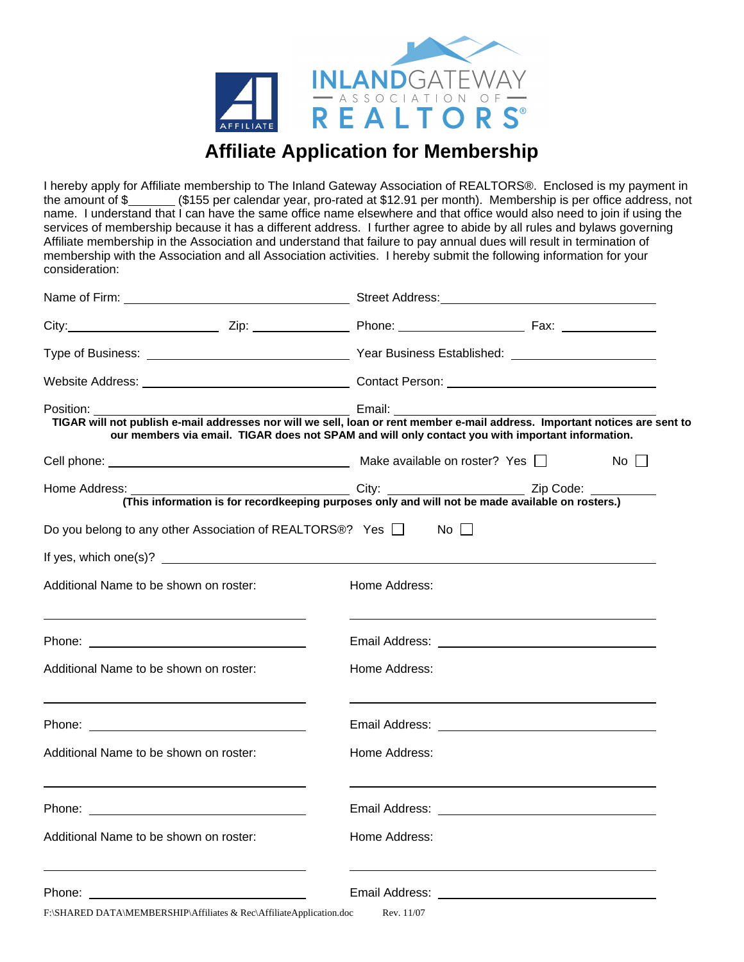

## **Affiliate Application for Membership**

I hereby apply for Affiliate membership to The Inland Gateway Association of REALTORS®. Enclosed is my payment in the amount of \$\_\_\_\_\_\_\_ (\$155 per calendar year, pro-rated at \$12.91 per month). Membership is per office address, not name. I understand that I can have the same office name elsewhere and that office would also need to join if using the services of membership because it has a different address. I further agree to abide by all rules and bylaws governing Affiliate membership in the Association and understand that failure to pay annual dues will result in termination of membership with the Association and all Association activities. I hereby submit the following information for your consideration:

|                                                                     |  | City: City: City: City: City: City: City: City: City: City: City: City: City: City: City: City: City: City: City: City: City: City: City: City: City: City: City: City: City: City: City: City: City: City: City: City: City: |  |       |  |  |
|---------------------------------------------------------------------|--|-------------------------------------------------------------------------------------------------------------------------------------------------------------------------------------------------------------------------------|--|-------|--|--|
|                                                                     |  |                                                                                                                                                                                                                               |  |       |  |  |
|                                                                     |  | Website Address: New York Contact Person: New York 2014 19:00 New York 2014 19:00 New York 2014 19:00 New York 2014                                                                                                           |  |       |  |  |
|                                                                     |  | our members via email. TIGAR does not SPAM and will only contact you with important information.                                                                                                                              |  |       |  |  |
|                                                                     |  |                                                                                                                                                                                                                               |  | No II |  |  |
|                                                                     |  |                                                                                                                                                                                                                               |  |       |  |  |
| Do you belong to any other Association of REALTORS®? Yes □          |  | No II                                                                                                                                                                                                                         |  |       |  |  |
|                                                                     |  |                                                                                                                                                                                                                               |  |       |  |  |
| Additional Name to be shown on roster:                              |  | Home Address:                                                                                                                                                                                                                 |  |       |  |  |
|                                                                     |  |                                                                                                                                                                                                                               |  |       |  |  |
| Additional Name to be shown on roster:                              |  | Home Address:                                                                                                                                                                                                                 |  |       |  |  |
|                                                                     |  |                                                                                                                                                                                                                               |  |       |  |  |
| Additional Name to be shown on roster:                              |  | Home Address:                                                                                                                                                                                                                 |  |       |  |  |
|                                                                     |  |                                                                                                                                                                                                                               |  |       |  |  |
| Additional Name to be shown on roster:                              |  | Home Address:                                                                                                                                                                                                                 |  |       |  |  |
|                                                                     |  |                                                                                                                                                                                                                               |  |       |  |  |
| F:\SHARED DATA\MEMBERSHIP\Affiliates & Rec\AffiliateApplication.doc |  | Rev. 11/07                                                                                                                                                                                                                    |  |       |  |  |